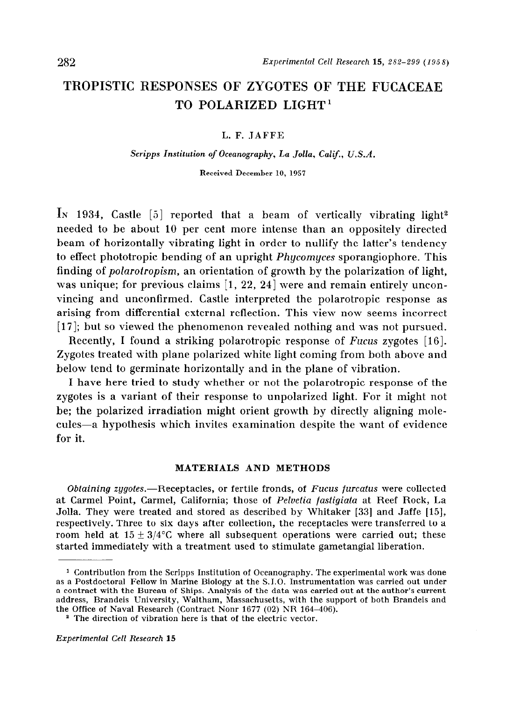# TROPISTIC RESPONSES OF ZYGOTES OF THE FUCACEAE TO POLARIZED LIGHT'

#### L. F. JAFFE

#### Scripps Institution of Oceanography, La Jolla, Calif., U.S.A.

Received December 10, 1957

In 1934, Castle  $[5]$  reported that a beam of vertically vibrating light<sup>2</sup> needed to be about 10 per cent more intense than an oppositely directed beam of horizontally vibrating light in order to nullify the latter's tendency to effect phototropic bending of an upright Phycomyces sporangiophore. This finding of polarotropism, an orientation of growth by the polarization of light, was unique; for previous claims  $[1, 22, 24]$  were and remain entirely unconvincing and unconfirmed. Castle interpreted the polarotropic response as arising from differential external reflection. This view now seems incorrect [ 171; but so viewed the phenomenon revealed nothing and was not pursued.

Recently, I found a striking polarotropic response of Fucus zygotes [16]. Zygotes treated with plane polarized white light coming from both above and below tend to germinate horizontally and in the plane of vibration.

I have here tried to study whether or not the polarotropic response of the zygotes is a variant of their response to unpolarized light. For it might not be; the polarized irradiation might orient growth by directly aligning molecules-a hypothesis which invites examination despite the want of evidence for it.

#### MATERIALS AND METHODS

Obtaining zygotes.—Receptacles, or fertile fronds, of Fucus furcatus were collected at Carmel Point, Carmel, California; those of Pelvetia fastigiata at Reef Rock, La Jolla. They were treated and stored as described by Whitaker [33] and Jaffe [15], respectively. Three to six days after collection, the receptacles were transferred to a room held at  $15 \pm 3/4$ °C where all subsequent operations were carried out; these started immediately with a treatment used to stimulate gametangial liberation.

<sup>1</sup> Contribution from the Scripps Institution of Oceanography. The experimental work was done as a Postdoctoral Fellow in Marine Biology at the S. 1.0. Instrumentation was carried out under a contract with the Bureau of Ships. Analysis of the data was carried out at the author's current address, Brandeis University, Waltham, Massachusetts, with the support of both Brandeis and the Office of Naval Research (Contract Nonr 1677 (02) NR 164-406).

<sup>&</sup>lt;sup>2</sup> The direction of vibration here is that of the electric vector.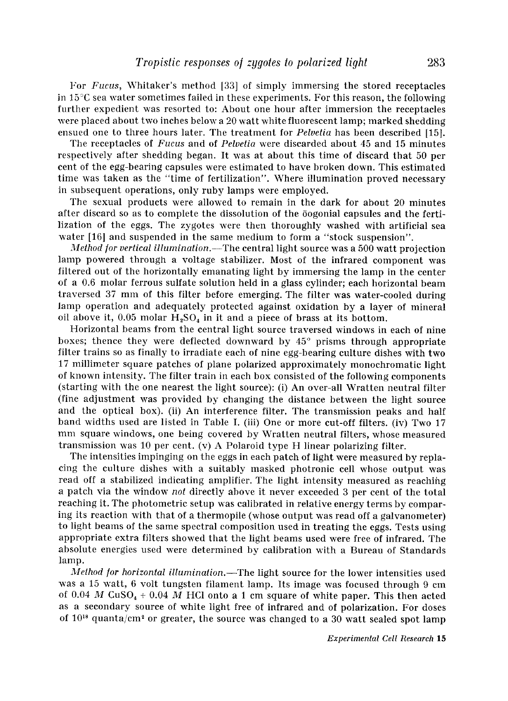For Fucus, Whitaker's method [33] of simply immersing the stored receptacles in 15°C sea water sometimes failed in these experiments. For this reason, the following further expedient was resorted to: About one hour after immersion the receptacles were placed about two inches below a 20 watt white fluorescent lamp; marked shedding ensued one to three hours later. The treatment for *Pelvetia* has been described [15].

The receptacles of Fucus and of Pelvetia were discarded about 45 and 15 minutes respectively after shedding began. It was at about this time of discard that 50 per cent of the egg-bearing capsules were estimated to have broken down. This estimated time was taken as the "time of fertilization". Where illumination proved necessary in subsequent operations, only ruby lamps were employed.

The sexual products were allowed to remain in the dark for about 20 minutes after discard so as to complete the dissolution of the oogonial capsules and the fertilization of the eggs. The zygotes were then thoroughly washed with artificial sea water [16] and suspended in the same medium to form a "stock suspension".

Method for vertical illumination.-The central light source was a 500 watt projection lamp powered through a voltage stabilizer. Most of the infrared component was filtered out of the horizontally emanating light by immersing the lamp in the center of a 0.6 molar ferrous sulfate solution held in a glass cylinder; each horizontal beam traversed 37 mm of this filter before emerging. The filter was water-cooled during lamp operation and adequately protected against oxidation by a layer of mineral oil above it, 0.05 molar  $H_2SO_4$  in it and a piece of brass at its bottom.

Horizontal beams from the central light source traversed windows in each of nine boxes; thence they were deflected downward by 45° prisms through appropriate filter trains so as finally to irradiate each of nine egg-bearing culture dishes with two 17 millimeter square patches of plane polarized approximately monochromatic light of known intensity. The filter train in each box consisted of the following components (starting with the one nearest the light source): (i) An over-all Wratten neutral filter (fine adjustment was provided by changing the distance between the light source and the optical box). (ii) An interference filter. The transmission peaks and half band widths used are listed in Table I. (iii) One or more cut-off filters. (iv) Two 17 mm square windows, one being covered by Wratten neutral filters, whose measured transmission was 10 per cent. (v) A Polaroid type H linear polarizing filter.

The intensities impinging on the eggs in each patch of light were measured by replacing the culture dishes with a suitably masked photronic cell whose output was read off a stabilized indicating amplifier. The light intensity measured as reaching a patch via the window not directly above it never exceeded 3 per cent of the total reaching it. The photometric setup was calibrated in relative energy terms by comparing its reaction with that of a thermopile (whose output was read off a galvanometer) to light beams of the same spectral composition used in treating the eggs. Tests using appropriate extra filters showed that the light beams used were free of infrared. The absolute energies used were determined by calibration with a Bureau of Standards lamp.

Method for horizontal illumination.--The light source for the lower intensities used was a 15 watt, 6 volt tungsten filament lamp. Its image was focused through 9 cm of 0.04 M CuSO<sub>4</sub> + 0.04 M HCl onto a 1 cm square of white paper. This then acted as a secondary source of white light free of infrared and of polarization. For doses of  $10^{18}$  quanta/cm<sup>2</sup> or greater, the source was changed to a 30 watt sealed spot lamp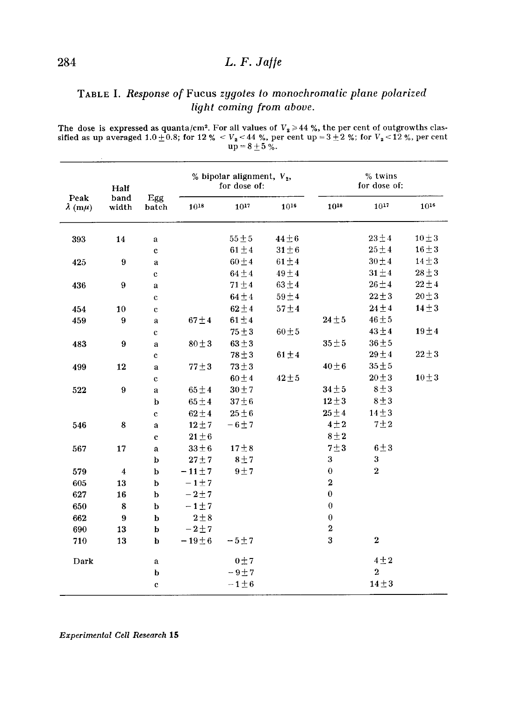### TABLE I. Response of Fucus zygotes to monochromatic plane polarized light coming from aboue.

The dose is expressed as quanta/cm<sup>2</sup>. For all values of  $V_2 \ge 44$  %, the per cent of outgrowths classified as up averaged 1.0  $\pm$  0.8; for 12 %  $<$  V<sub>2</sub>  $<$  44 %, per cent up = 3  $\pm$  2 %; for V<sub>2</sub>  $<$  12 %, per cent  $up = 8 \pm 3$ 

|                              | Half             |                   |             | % bipolar alignment, $V_2$ ,<br>for dose of: |            |              | % twins<br>for dose of: |            |
|------------------------------|------------------|-------------------|-------------|----------------------------------------------|------------|--------------|-------------------------|------------|
| Peak<br>$\lambda$ (m $\mu$ ) | band<br>width    | Egg<br>batch      | $10^{18}$   | $10^{17}$                                    | $10^{16}$  | 1018         | $10^{17}$               | $10^{16}$  |
| 393                          | 14               | a                 |             | $55 \pm 5$                                   | $44\pm6$   |              | $23 \pm 4$              | $10 \pm 3$ |
|                              |                  | c                 |             | $61 \pm 4$                                   | $31 \pm 6$ |              | $25 \pm 4$              | $16 \pm 3$ |
| 425                          | 9                | a                 |             | $60 \pm 4$                                   | $61 \pm 4$ |              | $30 \pm 4$              | $14 \pm 3$ |
|                              |                  | c                 |             | $64 \pm 4$                                   | $49 \pm 4$ |              | $31 \pm 4$              | $28 \pm 3$ |
| 436                          | 9                | a                 |             | $71 \pm 4$                                   | $63 \pm 4$ |              | $26 \pm 4$              | $22 \pm 4$ |
|                              |                  | $\mathbf c$       |             | $64 \pm 4$                                   | $59 \pm 4$ |              | $22 \pm 3$              | $20 \pm 3$ |
| 454                          | 10               | $\mathbf c$       |             | $62 \pm 4$                                   | $57\pm4$   |              | $24 \pm 4$              | $14 \pm 3$ |
| 459                          | 9                | a                 | $67 \pm 4$  | $61 \pm 4$                                   |            | $24 \pm 5$   | $46 \pm 5$              |            |
|                              |                  | $\mathbf{c}$      |             | $75 + 3$                                     | $60 \pm 5$ |              | $43 \pm 4$              | $19 \pm 4$ |
| 483                          | $\boldsymbol{9}$ | a                 | $80 \pm 3$  | $63 \pm 3$                                   |            | $35 \pm 5$   | $36 \pm 5$              |            |
|                              |                  | $\mathbf c$       |             | $78 + 3$                                     | $61 \pm 4$ |              | $29 \pm 4$              | $22 \pm 3$ |
| 499                          | 12               | a                 | $77 \pm 3$  | $73 \pm 3$                                   |            | $40 + 6$     | $35 \pm 5$              |            |
|                              |                  | $\mathbf c$       |             | $60 \pm 4$                                   | $42 \pm 5$ |              | $20 \pm 3$              | $10 \pm 3$ |
| 522                          | $\boldsymbol{9}$ | $\mathbf{a}$      | $65 \pm 4$  | $30 \pm 7$                                   |            | $34 \pm 5$   | $8 + 3$                 |            |
|                              |                  | b                 | $65 \pm 4$  | 37 < 6                                       |            | $12 + 3$     | $8 + 3$                 |            |
|                              |                  | $\ddot{\text{c}}$ | $62 \pm 4$  | $25 \pm 6$                                   |            | $25 \pm 4$   | $14 \pm 3$              |            |
| 546                          | 8                | a                 | $12 \pm 7$  | $-6\pm7$                                     |            | $4\pm 2$     | 7 <sub>12</sub>         |            |
|                              |                  | $\mathbf c$       | $21 + 6$    |                                              |            | $8 + 2$      |                         |            |
| 567                          | 17               | a                 | $33 \pm 6$  | 17 <sub>±</sub> 8                            |            | $7 + 3$      | $6 \pm 3$               |            |
|                              |                  | b                 | $27 + 7$    | $8 + 7$                                      |            | 3            | $\bf{3}$                |            |
| 579                          | $\overline{4}$   | $\mathbf b$       | $-11 \pm 7$ | $9 + 7$                                      |            | $\mathbf 0$  | $\bf 2$                 |            |
| 605                          | 13               | $\mathbf b$       | $-1+7$      |                                              |            | $\bf{2}$     |                         |            |
| 627                          | 16               | $\mathbf b$       | $-2+7$      |                                              |            | $\mathbf{0}$ |                         |            |
| 650                          | 8                | $\mathbf b$       | $-1$ + 7    |                                              |            | $\bf{0}$     |                         |            |
| 662                          | $9\phantom{.0}$  | b                 | $2 \pm 8$   |                                              |            | $\bf{0}$     |                         |            |
| 690                          | 13               | $\mathbf b$       | $-2 + 7$    |                                              |            | $\mathbf 2$  |                         |            |
| 710                          | 13               | b                 | $-19 \pm 6$ | $-5+7$                                       |            | 3            | $\overline{2}$          |            |
| Dark                         |                  | a                 |             | 0 <sub>1</sub>                               |            |              | $4 \pm 2$               |            |
|                              |                  | b                 |             | $-9 + 7$                                     |            |              | $\overline{2}$          |            |
|                              |                  | $\mathbf{c}$      |             | $-1\pm 6$                                    |            |              | $14 \pm 3$              |            |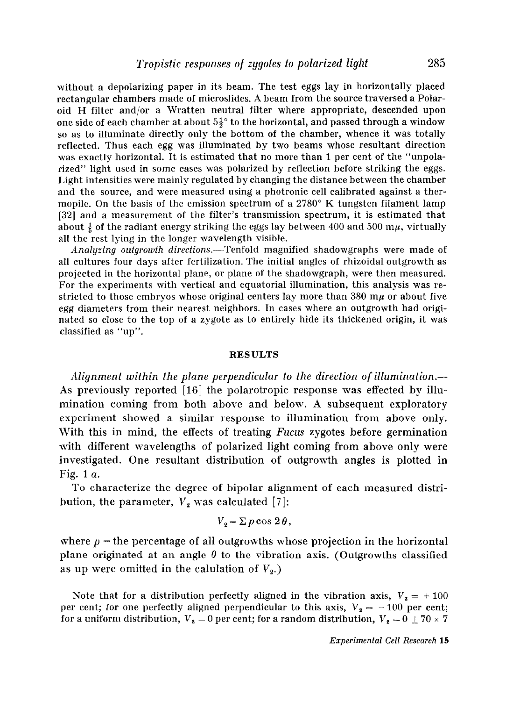without a depolarizing paper in its beam. The test eggs lay in horizontally placed rectangular chambers made of microslides. A beam from the source traversed a Polaroid H filter and/or a Wratten neutral filter where appropriate, descended upon one side of each chamber at about  $5\frac{1}{2}$ <sup>o</sup> to the horizontal, and passed through a window so as to illuminate directly only the bottom of the chamber, whence it was totally reflected. Thus each egg was illuminated by two beams whose resultant direction was exactly horizontal. It is estimated that no more than 1 per cent of the "unpolarized" light used in some cases was polarized by reflection before striking the eggs. Light intensities were mainly regulated by changing the distance between the chamber and the source, and were measured using a photronic cell calibrated against a thermopile. On the basis of the emission spectrum of a  $2780^{\circ}$  K tungsten filament lamp 1321 and a measurement of the filter's transmission spectrum, it is estimated that about  $\frac{1}{6}$  of the radiant energy striking the eggs lay between 400 and 500 m $\mu$ , virtually all the rest lying in the longer wavelength visible.

Analyzing outgrowth directions.—Tenfold magnified shadowgraphs were made of all cultures four days after fertilization. The initial angles of rhizoidal outgrowth as projected in the horizontal plane, or plane of the shadowgraph, were then measured. For the experiments with vertical and equatorial illumination, this analysis was restricted to those embryos whose original centers lay more than  $380 \text{ m}\mu$  or about five egg diameters from their nearest neighbors. In cases where an outgrowth had originated so close to the top of a zygote as to entirely hide its thickened origin, it was classified as "up".

#### RESULTS

Alignment within the plane perpendicular to the direction of illumination.— As previously reported [16] the polarotropic response was effected by illumination coming from both above and below. A subsequent exploratory experiment showed a similar response to illumination from above only. With this in mind, the effects of treating Fucus zygotes before germination with different wavelengths of polarized light coming from above only were investigated. One resultant distribution of outgrowth angles is plotted in Fig. 1 a.

To characterize the degree of bipolar alignment of each measured distribution, the parameter,  $V_2$  was calculated [7]:

$$
V_2 = \Sigma p \cos 2\theta,
$$

where  $p =$  the percentage of all outgrowths whose projection in the horizontal plane originated at an angle  $\theta$  to the vibration axis. (Outgrowths classified as up were omitted in the calulation of  $V_2$ .)

Note that for a distribution perfectly aligned in the vibration axis,  $V_2 = +100$ per cent; for one perfectly aligned perpendicular to this axis,  $V_2 = -100$  per cent; for a uniform distribution,  $V_2 = 0$  per cent; for a random distribution,  $V_2 = 0 \pm 70 \times 7$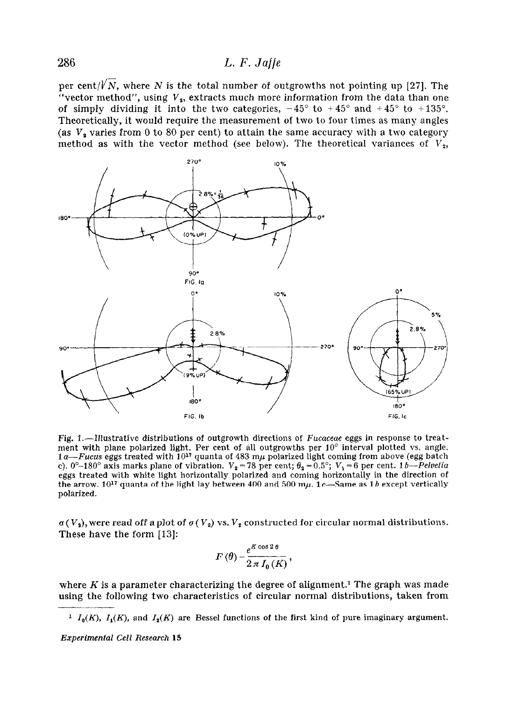per cent/ $\sqrt{N}$ , where N is the total number of outgrowths not pointing up [27]. The "vector method", using  $\emph{V}_{\emph{s}}$ , extracts much more information from the data than one of simply dividing it into the two categories,  $-45^{\circ}$  to  $+45^{\circ}$  and  $+45^{\circ}$  to  $+135^{\circ}$ . Theoretically, it would require the measurement of two to four times as many angles (as  $V_a$  varies from 0 to 80 per cent) to attain the same accuracy with a two category method as with the vector method (see below). The theoretical variances of  $V_2$ ,



Fig. 1.-Illustrative distributions of outgrowth directions of Fucaceae eggs in response to treatment with plane polarized light. Per cent of all outgrowths per  $10^{\circ}$  interval plotted vs. angle. 1 a—Fucus eggs treated with 10 $^{\mathfrak{p}}$  quanta of 483 m $\mu$  polarized light coming from above (egg batch c).  $0^{\circ}-180^{\circ}$  axis marks plane of vibration.  $V_2 = 78$  per cent;  $\theta_2 = 0.5^{\circ}$ ;  $V_1 = 6$  per cent. 1*b--Pelve* eggs treated with white light horizontally polarized and coming horizontally in the direction of the arrow.  $10^{17}$  quanta of the light lay between 400 and 500 m $\mu$ . 1 c-Same as 1 b except vertically polarized.

 $\sigma(V_2)$ , were read off a plot of  $\sigma(V_2)$  vs.  $V_2$  constructed for circular normal distributions. These have the form [13]:

$$
F(\theta) = \frac{e^{K \cos 2\theta}}{2\pi I_0(K)},
$$

where  $K$  is a parameter characterizing the degree of alignment.<sup>1</sup> The graph was made using the following two characteristics of circular normal distributions, taken from

<sup>&</sup>lt;sup>1</sup>  $I_0(K)$ ,  $I_1(K)$ , and  $I_2(K)$  are Bessel functions of the first kind of pure imaginary argument.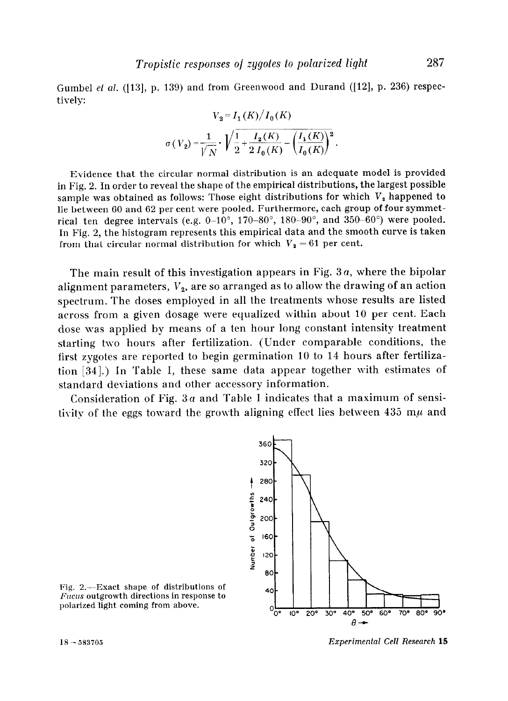Gumbel et al. ([13], p. 139) and from Greenwood and Durand ([12], p. 236) respectively:

$$
V_2 = I_1(K)/I_0(K)
$$
  

$$
\sigma(V_2) = \frac{1}{\sqrt{N}} \cdot \sqrt{\frac{1}{2} + \frac{I_2(K)}{2 I_0(K)} - \left(\frac{I_1(K)}{I_0(K)}\right)^2}.
$$

Evidence that the circular normal distribution is an adequate model is provided in Fig. 2. In order to reveal the shape of the empirical distributions, the largest possible sample was obtained as follows: Those eight distributions for which  $V<sub>2</sub>$  happened to lie between 60 and 62 per cent were pooled. Furthermore, each group of four symmetrical ten degree intervals (e.g.  $0-10^{\circ}$ , 170-80°, 180-90°, and 350-60°) were pooled. In Fig. 2, the histogram represents this empirical data and the smooth curve is taken from that circular normal distribution for which  $V_2 = 61$  per cent.

The main result of this investigation appears in Fig. 3a, where the bipolar alignment parameters,  $V_2$ , are so arranged as to allow the drawing of an action spectrum. The doses employed in all the treatments whose results are listed across from a given dosage were equalized within about 10 per cent. Each dose \vas applied by means of a ten hour long constant intensity treatment starting two hours after fertilization. (Under comparable conditions, the first zygotes are reported to begin germination 10 to 14 hours after fertilization [34].) In Table I, these same data appear together with estimates of standard deviations and other accessory information.

Consideration of Fig.  $3a$  and Table I indicates that a maximum of sensitivity of the eggs toward the growth aligning effect lies between 435 m $\mu$  and



Fig. 2.-Exact shape of distributions of  $Fucus$  outgrowth directions in response to polarized light coming from above.

18 - 583705 Experimental Cell Research 15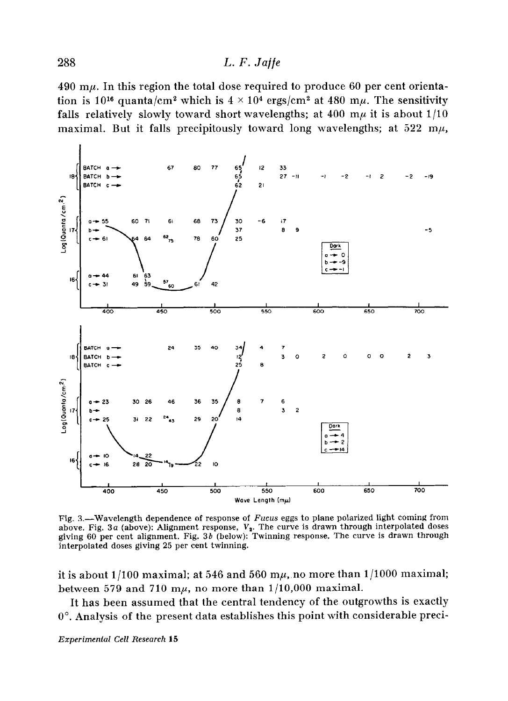490 m $\mu$ . In this region the total dose required to produce 60 per cent orientation is 10<sup>16</sup> quanta/cm<sup>2</sup> which is  $4 \times 10^4$  ergs/cm<sup>2</sup> at 480 m $\mu$ . The sensitivity falls relatively slowly toward short wavelengths; at 400 m $\mu$  it is about 1/10 maximal. But it falls precipitously toward long wavelengths; at  $522 \text{ m}\mu$ ,



Fig. 3.—Wavelength dependence of response of Fucus eggs to plane polarized light coming from above. Fig. 3a (above): Alignment response,  $V_2$ . The curve is drawn through interpolated doses giving 60 per cent alignment. Fig. 36 (below): Twinning response. The curve is drawn through interpolated doses giving 25 per cent twinning.

it is about  $1/100$  maximal; at 546 and 560 m $\mu$ , no more than  $1/1000$  maximal; between 579 and 710 m $\mu$ , no more than 1/10,000 maximal.

It has been assumed that the central tendency of the outgrowths is exactly 0". Analysis of the present data establishes this point with considerable preci-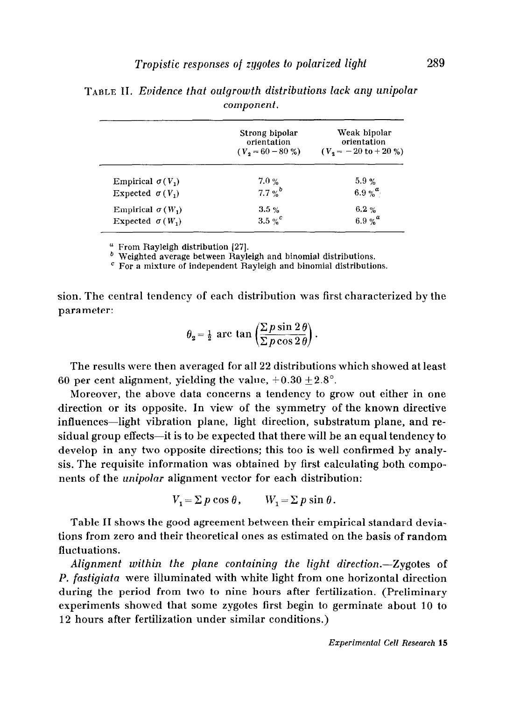|                         | Strong bipolar<br>orientation | Weak bipolar<br>orientation<br>$(V_2 = 60 - 80 \%)$ $(V_2 = -20 \text{ to } +20 \%)$ |
|-------------------------|-------------------------------|--------------------------------------------------------------------------------------|
| Empirical $\sigma(V_1)$ | 7.0%                          | 5.9%                                                                                 |
| Expected $\sigma(V_1)$  | $7.7\%$ <sup>6</sup>          | 6.9 % $a_1$                                                                          |
| Empirical $\sigma(W_1)$ | $3.5 \%$                      | $6.2 \%$                                                                             |
| Expected $\sigma(W_1)$  | $3.5\%$                       | 6.9 % $^a$                                                                           |

TABLE II. Evidence that outgrowth distributions lack any unipolar component.

<sup>a</sup> From Rayleigh distribution [27].

 $b$  Weighted average between Rayleigh and binomial distributions.

 $c$  For a mixture of independent Rayleigh and binomial distributions.

sion. The central tendency of each distribution was first characterized by the parameter:

$$
\theta_2 = \frac{1}{2}
$$
 arc tan  $\left( \frac{\sum p \sin 2\theta}{\sum p \cos 2\theta} \right)$ .

The results were then averaged for all 22 distributions which showed at least 60 per cent alignment, yielding the value,  $+0.30 \pm 2.8^{\circ}$ .

Moreover, the above data concerns a tendency to grow out either in one direction or its opposite. In view of the symmetry of the known directive influences-light vibration plane, light direction, substratum plane, and residual group effects-it is to be expected that there will be an equal tendency to develop in any two opposite directions; this too is well confirmed by analysis. The requisite information was obtained by first calculating both components of the unipolar alignment vector for each distribution:

$$
V_1 = \sum p \cos \theta, \qquad W_1 = \sum p \sin \theta.
$$

Table II shows the good agreement between their empirical standard deviations from zero and their theoretical ones as estimated on the basis of random fluctuations.

Alignment within the plane containing the light direction.—Zygotes of P. fastigiata were illuminated with white light from one horizontal direction during the period from two to nine hours after fertilization. (Preliminary experiments showed that some zygotes first begin to germinate about 10 to 12 hours after fertilization under similar conditions.)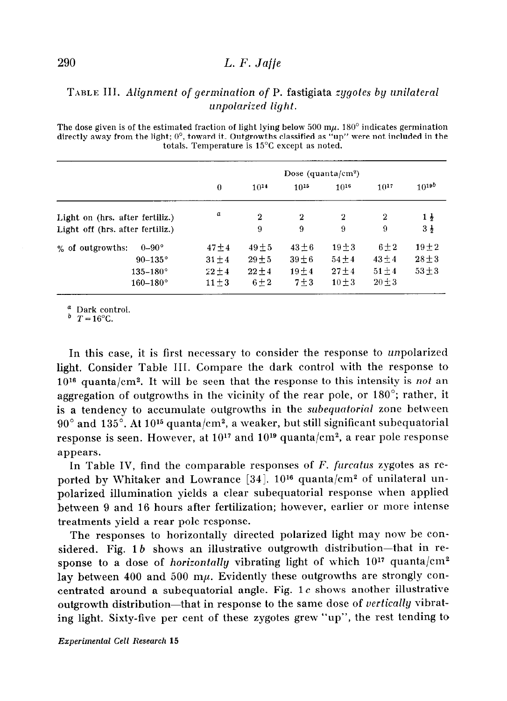### TABLE III. Alignment of germination of P. fastigiata zygotes by unilateral unpolarized light.

The dose given is of the estimated fraction of light lying below 500 m $\mu$ . 180<sup>o</sup> indicates germination directly away from the light; O', toward it. Outgrowths classified as "up" were not included in the totals. Temperature is 15'C except as noted.

|                                  | Dose (quanta/cm <sup>2</sup> ) |             |            |                |             |                |
|----------------------------------|--------------------------------|-------------|------------|----------------|-------------|----------------|
|                                  | $\mathbf{0}$                   | $10^{14}$   | $10^{15}$  | $10^{16}$      | $10^{17}$   | $10^{19b}$     |
| Light on (hrs. after fertiliz.)  | a                              | $\mathbf 2$ | $\bf{2}$   | $\overline{2}$ | $\mathbf 2$ | $1\frac{1}{2}$ |
| Light off (hrs. after fertiliz.) |                                | 9           | 9          | 9              | 9           | $3\frac{1}{2}$ |
| $0-90^\circ$<br>% of outgrowths: | $47 + 4$                       | $49 + 5$    | $43\pm6$   | $19 \pm 3$     | $6 \pm 2$   | $19 + 2$       |
| $90-135^\circ$                   | $31 \pm 4$                     | $29 + 5$    | $39 \pm 6$ | $54 \pm 4$     | $43 \pm 4$  | $28 \pm 3$     |
| $135 - 180^{\circ}$              | $22 \pm 4$                     | $22 + 4$    | $19 + 4$   | $27 + 4$       | $51 \pm 4$  | $53 \pm 3$     |
| $160 - 180^{\circ}$              | $11 \pm 3$                     | $6 \pm 2$   | $7 + 3$    | $10 + 3$       | $20 + 3$    |                |

a Dark control.

 $\frac{b}{T} = 16^{\circ}$ C.

In this case, it is first necessary to consider the response to unpolarized light. Consider Table III. Compare the dark control with the response to  $10^{16}$  quanta/cm<sup>2</sup>. It will be seen that the response to this intensity is not an aggregation of outgrowths in the vicinity of the rear pole, or 180"; rather, it is a tendency to accumulate outgrowths in the subequatorial zone between  $90^{\circ}$  and  $135^{\circ}$ . At  $10^{15}$  quanta/cm<sup>2</sup>, a weaker, but still significant subequatorial response is seen. However, at  $10^{17}$  and  $10^{19}$  quanta/cm<sup>2</sup>, a rear pole response appears.

In Table IV, find the comparable responses of  $F$ , furcatus zygotes as reported by Whitaker and Lowrance  $[34]$ . 10<sup>16</sup> quanta/cm<sup>2</sup> of unilateral unpolarized illumination yields a clear subequatorial response when applied between 9 and 16 hours after fertilization; however, earlier or more intense treatments yield a rear pole response.

The responses to horizontally directed polarized light may now be considered. Fig.  $1 b$  shows an illustrative outgrowth distribution-that in response to a dose of *horizontally* vibrating light of which  $10^{17}$  quanta/cm<sup>2</sup> lay between 400 and 500 m $\mu$ . Evidently these outgrowths are strongly concentrated around a subequatorial angle. Fig.  $1c$  shows another illustrative outgrowth distribution-that in response to the same dose of vertically vibrating light. Sixty-five per cent of these zygotes grew "up", the rest tending to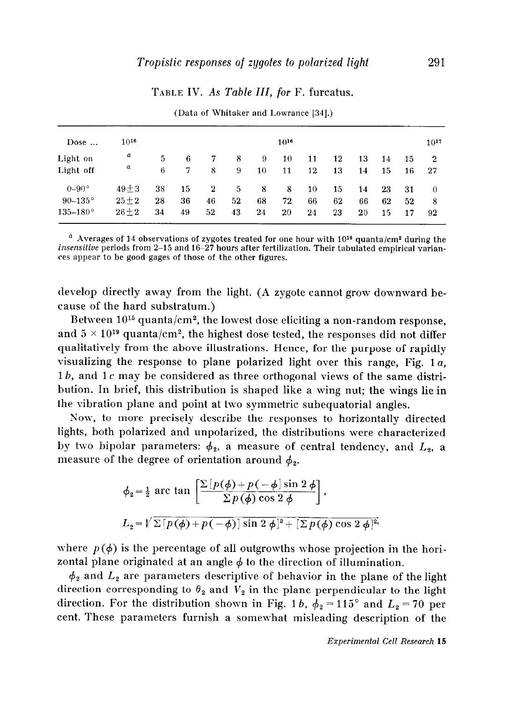## TABLE IV. As Table III, for F. furcatus.

| Dose $\dots$        | $10^{16}$ |    |    |                |    |    | $10^{16}$ |    |    |         |    |    | $10^{17}$      |
|---------------------|-----------|----|----|----------------|----|----|-----------|----|----|---------|----|----|----------------|
| Light on            | a         | 5  | 6  | 7              | 8  | 9  | 10        | 11 | 12 | 13      | 14 | 15 | $\overline{2}$ |
| Light off           | a         | 6  | 7  | 8              | 9  | 10 | 11        | 12 | 13 | 14      | 15 | 16 | -27            |
| $0-90^\circ$        | $49 + 3$  | 38 | 15 | $\overline{2}$ | 5. | -8 | 8         | 10 | 15 | 14      | 23 | 31 | $\Omega$       |
| $90 - 135^{\circ}$  | $25 + 2$  | 28 | 36 | 46             | 52 | 68 | 72        | 66 | 62 | 66      | 62 | 52 | 8              |
| $135 - 180^{\circ}$ | $26 + 2$  | 34 | 49 | 52             | 43 | 24 | 20        | 24 | 23 | $_{20}$ | 15 | 17 | 92             |

(Data of Whitaker and Lowrance 1341.)

 $^\circ$  Averages of 14 observations of zygotes treated for one hour with 10 $^{\rm 16}$  quanta/cm² during the insensitiue periods from 2-15 and 16-27 hours after fertilization. Their tabulated empirical variances appear to be good gages of those of the other figures.

develop directly away from the light. (A zygote cannot grow downward because of the hard substratum.)

Between 1015 quanta/cm2, the lowest dose eliciting a non-random response, and  $5 \times 10^{19}$  quanta/cm<sup>2</sup>, the highest dose tested, the responses did not differ qualitatively from the above illustrations. Hence, for the purpose of rapidly visualizing the response to plane polarized light over this range, Fig. 1a, 1*b*, and 1*c* may be considered as three orthogonal views of the same distribution. In brief, this distribution is shaped like a wing nut; the wings lie in the vibration plane and point at two symmetric subequatorial angles.

Now, to more precisely describe the responses to horizontally directed lights, both polarized and unpolarized, the distributions were characterized by two bipolar parameters:  $\phi_2$ , a measure of central tendency, and  $L_2$ , a measure of the degree of orientation around  $\phi$ .

$$
\phi_2 = \frac{1}{2} \arctan \left[ \frac{\sum [p(\phi) + p(-\phi)] \sin 2 \phi}{\sum p(\phi) \cos 2 \phi} \right],
$$
  

$$
L_2 = \sqrt{\sum [p(\phi) + p(-\phi)] \sin 2 \phi]^2 + [\sum p(\phi) \cos 2 \phi]^2}.
$$

where  $p(\phi)$  is the percentage of all outgrowths whose projection in the horizontal plane originated at an angle  $\phi$  to the direction of illumination.

 $\phi_2$  and  $L_2$  are parameters descriptive of behavior in the plane of the light direction corresponding to  $\theta_2$  and  $\overline{V}_2$  in the plane perpendicular to the light direction. For the distribution shown in Fig. 1b,  $\phi_2 = 115^\circ$  and  $L_2 = 70$  per cent. These parameters furnish a somewhat misleading description of the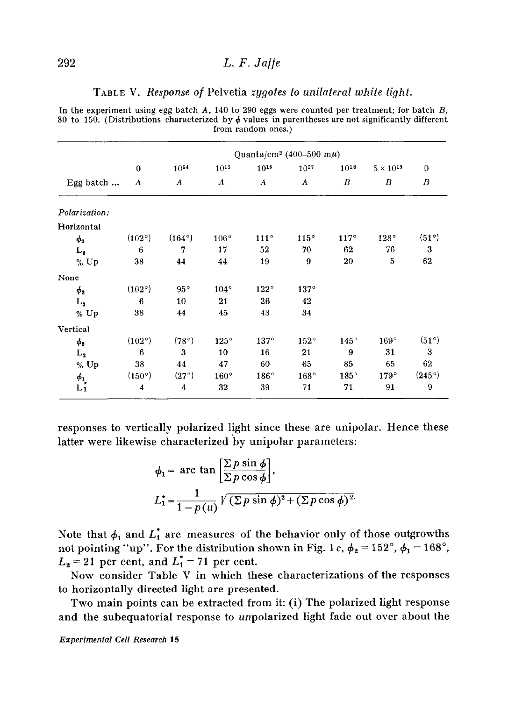#### TABLE V. Response of Pelvetia zygotes to unilateral white light.

In the experiment using egg batch  $A$ , 140 to 290 eggs were counted per treatment; for batch  $B$ , 80 to 150. (Distributions characterized by  $\phi$  values in parentheses are not significantly different from random ones.)

|                            | Quanta/cm <sup>2</sup> (400-500 m $\mu$ ) |                  |             |                  |                  |                  |                    |                  |
|----------------------------|-------------------------------------------|------------------|-------------|------------------|------------------|------------------|--------------------|------------------|
|                            | $\mathbf{0}$                              | $10^{14}$        | $10^{15}$   | $10^{16}$        | $10^{17}$        | $10^{18}$        | $5 \times 10^{19}$ | $\mathbf{0}$     |
| Egg batch                  | A                                         | $\boldsymbol{A}$ | $\bm{A}$    | $\boldsymbol{A}$ | $\boldsymbol{A}$ | $\boldsymbol{B}$ | $\boldsymbol{B}$   | $\boldsymbol{B}$ |
| Polarization:              |                                           |                  |             |                  |                  |                  |                    |                  |
| Horizontal                 |                                           |                  |             |                  |                  |                  |                    |                  |
| $\phi_2$                   | (102°)                                    | $(164^{\circ})$  | $106^\circ$ | $111^\circ$      | 115°             | 117°             | 128°               | (51°)            |
| $L_{2}$                    | $6\phantom{1}6$                           | 7                | 17          | 52               | 70               | 62               | 76                 | 3                |
| % Up                       | 38                                        | 44               | 44          | 19               | 9                | 20               | 5                  | 62               |
| None                       |                                           |                  |             |                  |                  |                  |                    |                  |
| $\phi_2$                   | $(102^{\circ})$                           | $95^{\circ}$     | $104^\circ$ | $122^{\circ}$    | $137^\circ$      |                  |                    |                  |
| L,                         | 6                                         | 10               | 21          | 26               | 42               |                  |                    |                  |
| $%$ Up                     | 38                                        | 44               | 45          | 43               | 34               |                  |                    |                  |
| Vertical                   |                                           |                  |             |                  |                  |                  |                    |                  |
| $\phi_2$                   | (102°)                                    | (78°)            | 125°        | 137°             | 152°             | 145°             | 169°               | $(51^{\circ})$   |
| $\mathbf{L_2}$             | $6\phantom{1}$                            | 3                | 10          | 16               | 21               | 9                | 31                 | 3                |
| $%$ Up                     | 38                                        | 44               | 47          | 60               | 65               | 85               | 65                 | 62               |
|                            | (150°)                                    | (27°)            | 160°        | 186°             | 168°             | $185^\circ$      | 179°               | $(245^{\circ})$  |
| $\phi_1$<br>L <sub>1</sub> | 4                                         | 4                | 32          | 39               | 71               | 71               | 91                 | 9                |

responses to vertically polarized light since these are unipolar. Hence these latter were likewise characterized 'by unipolar parameters:

$$
\phi_1 = \arctan\left[\frac{\sum p \sin \phi}{\sum p \cos \phi}\right],
$$
  

$$
L_1^* = \frac{1}{1 - p(u)} \sqrt{(\sum p \sin \phi)^2 + (\sum p \cos \phi)^2}.
$$

Note that  $\phi_1$  and  $L_1^*$  are measures of the behavior only of those outgrowths not pointing "up". For the distribution shown in Fig. 1c,  $\phi_2 = 152^\circ$ ,  $\phi_1 = 168^\circ$ ,  $L_2 = 21$  per cent, and  $L_1^* = 71$  per cent.

Now consider Table V in which these characterizations of the responses to horizontally directed light are presented.

Two main points can be extracted from it: (i) The polarized light response and the subequatorial response to unpolarized light fade out over about the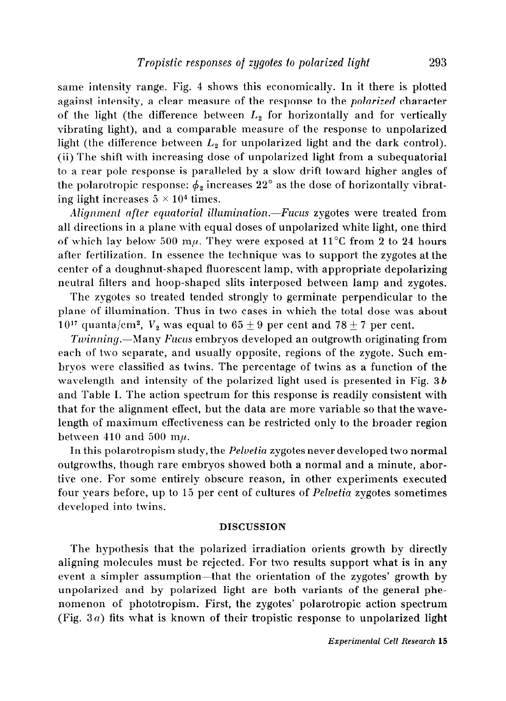same intensity range. Fig. 4 shows this economically. In it there is plotted against intensity, a clear measure of the response to the polarized character of the light (the difference between  $L<sub>2</sub>$  for horizontally and for vertically vibrating light), and a comparable measure of the response to unpolarized light (the difference between  $L_2$  for unpolarized light and the dark control). (ii) The shift with increasing dose of unpolarized light from a subequatorial to a rear pole response is paralleled by a slow drift toward higher angles of the polarotropic response:  $\phi_2$  increases 22° as the dose of horizontally vibrating light increases  $5 \times 10^4$  times.

Alignment after equatorial illumination.—Fucus zygotes were treated from all directions in a plane with equal doses of unpolarized white light, one third of which lay below 500 m $\mu$ . They were exposed at 11<sup>°</sup>C from 2 to 24 hours after fertilization. In essence the technique was to support the zygotes at the center of a doughnut-shaped fluorescent lamp, with appropriate depolarizing neutral filters and hoop-shaped slits interposed between lamp and zygotes.

The zygotes so treated tended strongly to germinate perpendicular to the plane of illumination. Thus in two cases in which the total dose was about 10<sup>17</sup> quanta/cm<sup>2</sup>,  $V_2$  was equal to 65  $\pm$  9 per cent and 78  $\pm$  7 per cent.

Twinning.—Many Fucus embryos developed an outgrowth originating from each of two separate, and usually opposite, regions of the zygote. Such embryos were classified as twins. The percentage of twins as a function of the wavelength and intensity of the polarized light used is presented in Fig. 3b and Table I. The action spectrum for this response is readily consistent with that for the alignment effect, but the data are more variable so that thewavelength of maximum effectiveness can be restricted only to the broader region between 410 and 500 m $\mu$ .

In this polarotropism study, the Pelvetia zygotes never developed two normal outgrowths, though rare embryos showed both a normal and a minute, abortive one. For some entirely obscure reason, in other experiments executed four years before, up to 15 per cent of cultures of Pelvetia zygotes sometimes developed into twins.

#### DISCUSSION

The hypothesis that the polarized irradiation orients growth by directly aligning molecules must be rejected. For two results support what is in any event a simpler assumption-that the orientation of the zygotes' growth by unpolarized and by polarized light are both variants of the general phenomenon of phototropism. First, the zygotes' polarotropic action spectrum (Fig.  $3a$ ) fits what is known of their tropistic response to unpolarized light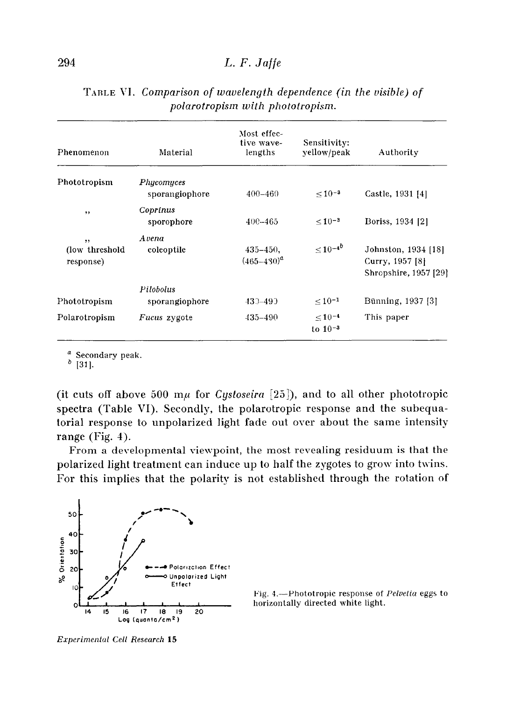| Phenomenon                         | Material                     | Most effec-<br>tive wave-<br>lengths | Sensitivity:<br>yellow/peak    | Authority                                                       |  |
|------------------------------------|------------------------------|--------------------------------------|--------------------------------|-----------------------------------------------------------------|--|
| Phototropism                       | Phycomyces<br>sporangiophore | $400 - 460$                          | $< 10^{-3}$                    | Castle, 1931 [4]                                                |  |
| $, \,$                             | Coprinus<br>sporophore       | $400 - 465$                          | $< 10^{-3}$                    | Boriss, 1934 [2]                                                |  |
| , ,<br>(low threshold<br>response) | Avena<br>coleoptile          | $435 - 450$ ,<br>$(465 - 480)^a$     | $\leq 10^{-4b}$                | Johnston, 1934 [18]<br>Curry, 1957 [8]<br>Shropshire, 1957 [29] |  |
| Phototropism                       | Pilobolus<br>sporangiophore  | 430–490                              | $\leq 10^{-1}$                 | Bünning, 1937 [3]                                               |  |
| Polarotropism                      | <i>Fucus</i> zygote          | $435 - 490$                          | $\leq 10^{-4}$<br>to $10^{-3}$ | This paper                                                      |  |

|  | TABLE VI. Comparison of wavelength dependence (in the visible) of |
|--|-------------------------------------------------------------------|
|  | polarotropism with phototropism.                                  |

 $a \nvert_{\text{311}}$  Secondary peak.

[31].

(it cuts off above 500  $m\mu$  for *Cystoseira* [25]), and to all other phototropic spectra (Table VI). Secondly, the polarotropic response and the subequatorial response to unpolarized light fade out over about the same intensity range (Fig. 4).

From a developmental viewpoint, the most revealing residuum is that the polarized light treatment can induce up to half the zygotes to grow into twins. For this implies that the polarity is not established through the rotation of





Erperimental Cell Research 15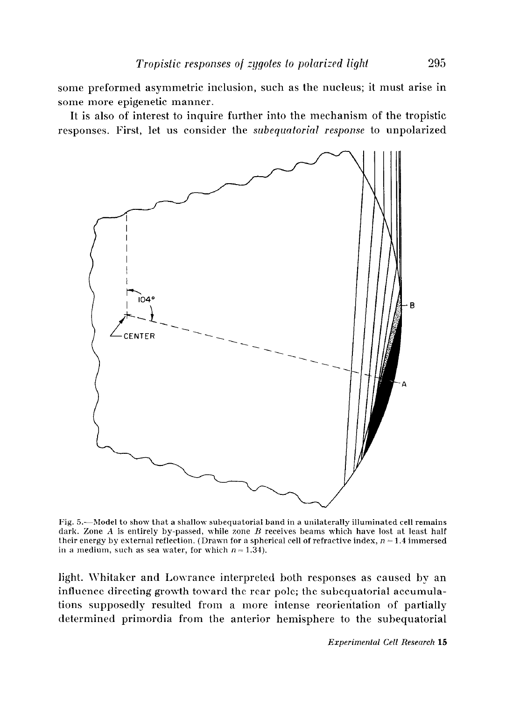some preformed asymmetric inclusion, such as the nucleus; it must arise in some more epigenetic manner.

It is also of interest to inquire further into the mechanism of the tropistic responses. First, let us consider the subequatorial response to mpolarized



Fig. 5.-Model to show that a shallow subequatorial band in a unilaterally illuminated cell remains dark. Zone A is entirely by-passed, while zone B receives beams which have lost at least half their energy by external reflection. (Drawn for a spherical cell of refractive index,  $n = 1.4$  immersed in a medium, such as sea water, for which  $n = 1.34$ ).

light. Whitaker and Lowrance interpreted both responses as caused by an influence directing growth toward the rear pole; the subequatorial accumulations supposedly resulted from a more intense reorientation of partially determined primordia from the anterior hemisphere to the subequatorial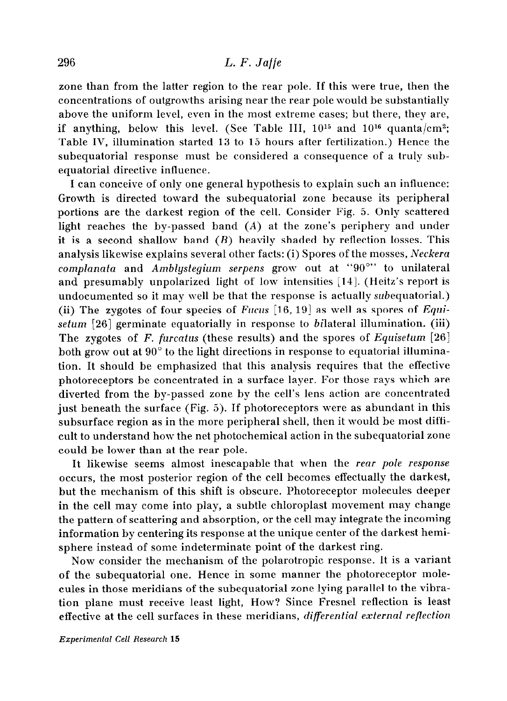zone than from the latter region to the rear pole, If this were true, then the concentrations of outgrowths arising near the rear pole would be substantially above the uniform level, even in the most extreme cases; but there, they are, if anything, below this level. (See Table III,  $10^{15}$  and  $10^{16}$  quanta/cm<sup>2</sup>; Table IV, illumination started 13 to 15 hours after fertilization.) Hence the subequatorial response must be considered a consequence of a truly subequatorial directive influence.

I can conceive of only one general hypothesis to explain such an influence: Growth is directed toward the subequatorial zone because its peripheral portions are the darkest region of the cell. Consider Fig. 5. Only scattered light reaches the by-passed band  $(A)$  at the zone's periphery and under it is a second shallow band  $(B)$  heavily shaded by reflection losses. This analysis likewise explains several other facts: (i) Spores of the mosses, Neckera complanata and Amblystegium serpens grow out at " $90^{\circ}$ " to unilateral and presumably unpolarized light of low intensities [14]. (Heitz's report is undocumented so it may well be that the response is actually subequatorial.) (ii) The zygotes of four species of Fucus  $[16, 19]$  as well as spores of Equisetum [26] germinate equatorially in response to bilateral illumination. (iii) The zygotes of F. furcatus (these results) and the spores of Equisetum  $[26]$ both grow out at 90" to the light directions in response to equatorial illumination. It should be emphasized that this analysis requires that the effective photoreceptors be concentrated in a surface layer. For those rays which are diverted from the by-passed zone by the cell's lens action are concentrated just beneath the surface (Fig. 5). If photoreceptors were as abundant in this subsurface region as in the more peripheral shell, then it would be most difticult to understand how the net photochemical action in the subequatorial zone could be lower than at the rear pole.

It likewise seems almost inescapable that when the rear pole response occurs, the most posterior region of the cell becomes effectually the darkest, but the mechanism of this shift is obscure. Photoreceptor molecules deeper in the cell may come into play, a subtle chloroplast movement may change the pattern of scattering and absorption, or the cell may integrate the incoming information by centering its response at the unique center of the darkest hemisphere instead of some indeterminate point of the darkest ring.

Now consider the mechanism of the polarotropic response. It is a variant of the subequatorial one. Hence in some manner the photoreceptor molecules in those meridians of the subequatorial zone lying parallel to the vibration plane must receive least light, How? Since Fresnel reflection is least effective at the cell surfaces in these meridians, differential external reflection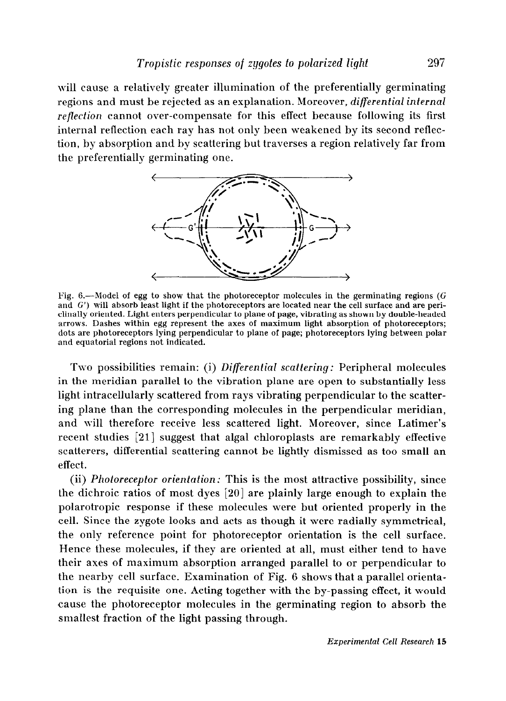will cause a relatively greater illumination of the preferentially germinating regions and must be rejected as an explanation. Moreover, differential internal reflection cannot over-compensate for this effect because following its first internal reflection each ray has not only been weakened by its second reflection, by absorption and by scattering but traverses a region relatively far from the preferentially germinating one.



Fig. 6.-Model of egg to show that the photoreceptor molecules in the germinating regions ( $G$ and G') will absorb least light if the photoreceptors are located near the cell surface and are periclinally oriented. Light enters perpendicular to plane of page, vibrating as shown by double-headed arrows. Dashes within egg represent the axes of maximum light absorption of photoreceptors; dots are photoreceptors lying perpendicular to plane of page; photoreceptors lying between polar and equatorial regions not indicated.

Two possibilities remain: (i) Differential scattering: Peripheral molecules in the meridian parallel to the vibration plane are open to substantially less light intracellularly scattered from rays vibrating perpendicular to the scattering plane than the corresponding molecules in the perpendicular meridian, and will therefore receive less scattered light. Moreover, since Latimer's recent studies [21] suggest that algal chloroplasts are remarkably effective scatterers, differential scattering cannot be lightly dismissed as too small an effect.

(ii) Photoreceptor orientation: This is the most attractive possibility, since the dichroic ratios of most dyes [20] are plainly large enough to explain the polarotropic response if these molecules were but oriented properly in the cell. Since the zygote looks and acts as though it were radially symmetrical, the only reference point for photoreceptor orientation is the cell surface. Hence these molecules, if they are oriented at all, must either tend to have their axes of maximum absorption arranged parallel to or perpendicular to the nearby cell surface. Examination of Fig. 6 shows that a parallel orientation is the requisite one. Acting together with the by-passing effect, it would cause the photoreceptor molecules in the germinating region to absorb the smallest fraction of the light passing through.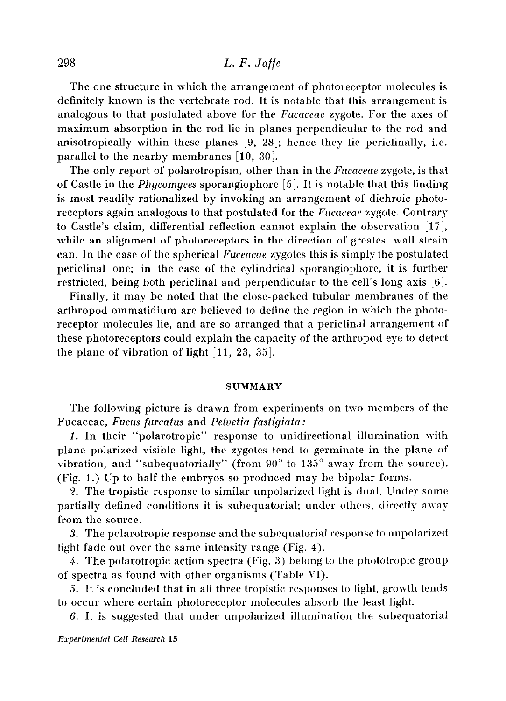The one structure in which the arrangement of photoreceptor molecules is definitely known is the vertebrate rod. It is notable that this arrangement is analogous to that postulated above for the *Fucaceae* zygote. For the axes of maximum absorption in the rod lie in planes perpendicular to the rod and anisotropically within these planes  $[9, 28]$ ; hence they lie periclinally, i.e. parallel to the nearby membranes  $[10, 30]$ .

The only report of polarotropism, other than in the *Fucaceae* zygote, is that of Castle in the Phycomyces sporangiophore [5]. It is notable that this finding is most readily rationalized by invoking an arrangement of dichroic photoreceptors again analogous to that postulated for the Fucaceae zygote. Contrary to Castle's claim, differential reflection cannot explain the observation  $[17]$ , while an alignment of photoreceptors in the direction of greatest wall strain can. In the case of the spherical Fuceacae zygotes this is simply the postulated periclinal one; in the case of the cylindrical sporangiophore, it is further restricted, being both periclinal and perpendicular to the cell's long axis [6].

Finally, it may be noted that the close-packed tubular membranes of the arthropod ommatidium are believed to define the region in which the photoreceptor molecules lie, and are so arranged that a periclinal arrangement of these photoreceptors could explain the capacity of the arthropod eye to detect the plane of vibration of light  $[11, 23, 35]$ .

#### SUMMARY

The following picture is drawn from experiments on two members of the Fucaceae, Fucus furcatus and Peluetia fastigiata :

1. In their "polarotropic" response to unidirectional illumination with plane polarized visible light, the zygotes tend to germinate in the plane of vibration, and "subequatorially" (from  $90^{\circ}$  to  $135^{\circ}$  away from the source). (Fig. 1.) Up to half the embryos so produced may be bipolar forms.

2. The tropistic response to similar unpolarized light is dual. Under some partially defined conditions it is subequatorial; under others, directly away from the source.

3. The polarotropic response and the subequatorial response to unpolarized light fade out over the same intensity range (Fig. 4).

4. The polarotropic action spectra (Fig. 3) belong to the phototropic group of spectra as found with other organisms (Table VI).

5. It is concluded that in all three tropistic responses to light, growth tends to occur where certain photoreceptor molecules absorb the least light.

6. It is suggested that under unpolarized illumination the subequatorial